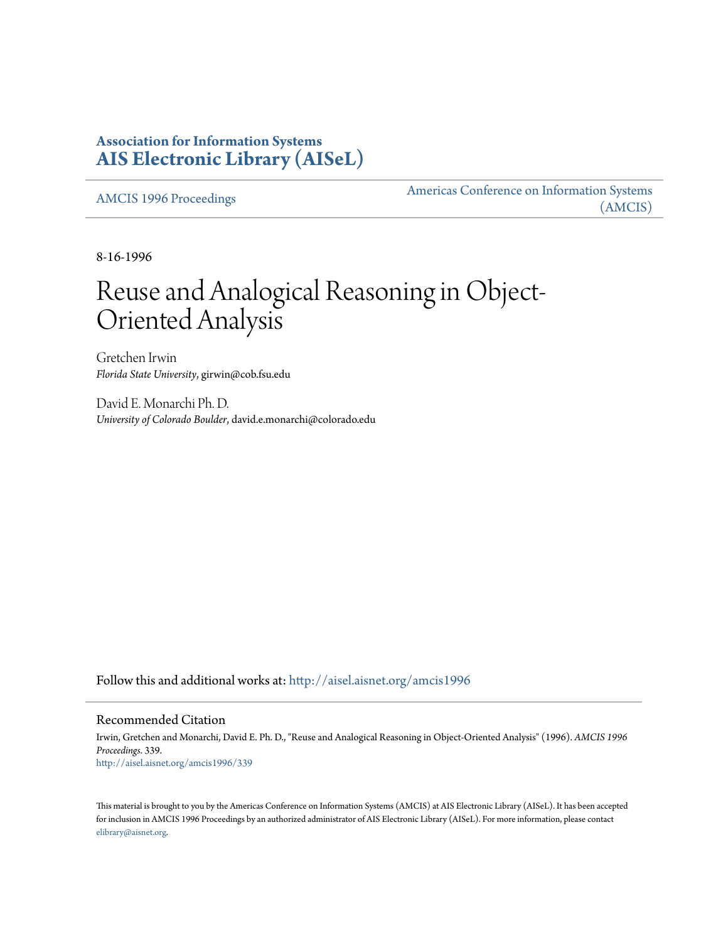## **Association for Information Systems [AIS Electronic Library \(AISeL\)](http://aisel.aisnet.org?utm_source=aisel.aisnet.org%2Famcis1996%2F339&utm_medium=PDF&utm_campaign=PDFCoverPages)**

[AMCIS 1996 Proceedings](http://aisel.aisnet.org/amcis1996?utm_source=aisel.aisnet.org%2Famcis1996%2F339&utm_medium=PDF&utm_campaign=PDFCoverPages)

[Americas Conference on Information Systems](http://aisel.aisnet.org/amcis?utm_source=aisel.aisnet.org%2Famcis1996%2F339&utm_medium=PDF&utm_campaign=PDFCoverPages) [\(AMCIS\)](http://aisel.aisnet.org/amcis?utm_source=aisel.aisnet.org%2Famcis1996%2F339&utm_medium=PDF&utm_campaign=PDFCoverPages)

8-16-1996

## Reuse and Analogical Reasoning in Object-Oriented Analysis

Gretchen Irwin *Florida State University*, girwin@cob.fsu.edu

David E. Monarchi Ph. D. *University of Colorado Boulder*, david.e.monarchi@colorado.edu

Follow this and additional works at: [http://aisel.aisnet.org/amcis1996](http://aisel.aisnet.org/amcis1996?utm_source=aisel.aisnet.org%2Famcis1996%2F339&utm_medium=PDF&utm_campaign=PDFCoverPages)

Recommended Citation

Irwin, Gretchen and Monarchi, David E. Ph. D., "Reuse and Analogical Reasoning in Object-Oriented Analysis" (1996). *AMCIS 1996 Proceedings*. 339. [http://aisel.aisnet.org/amcis1996/339](http://aisel.aisnet.org/amcis1996/339?utm_source=aisel.aisnet.org%2Famcis1996%2F339&utm_medium=PDF&utm_campaign=PDFCoverPages)

This material is brought to you by the Americas Conference on Information Systems (AMCIS) at AIS Electronic Library (AISeL). It has been accepted for inclusion in AMCIS 1996 Proceedings by an authorized administrator of AIS Electronic Library (AISeL). For more information, please contact [elibrary@aisnet.org.](mailto:elibrary@aisnet.org%3E)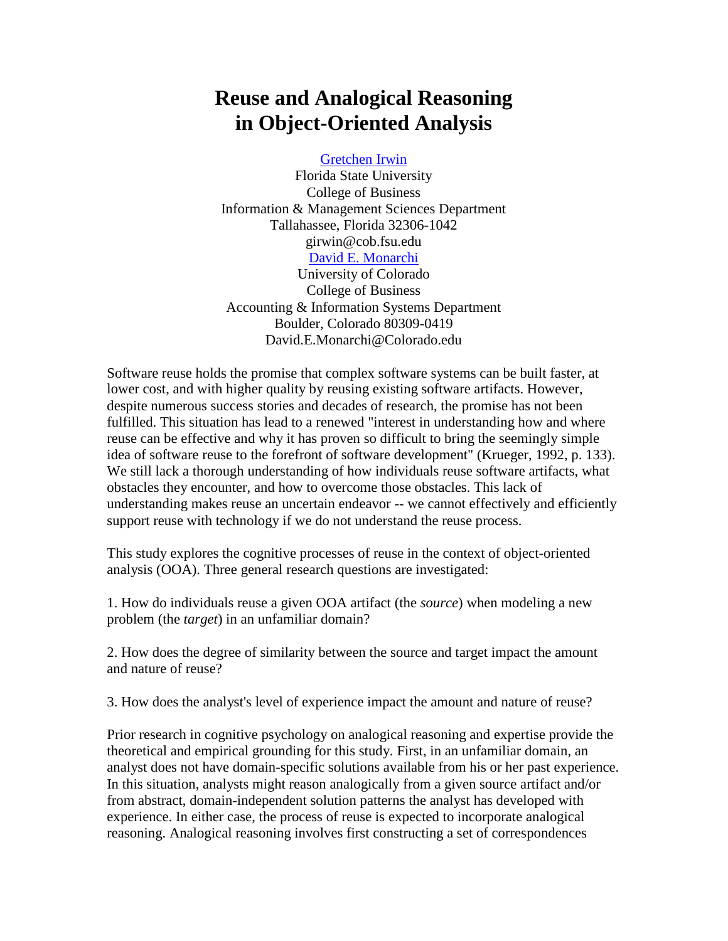## **Reuse and Analogical Reasoning in Object-Oriented Analysis**

[Gretchen Irwin](mailto:girwin@cob.fsu.edu)

Florida State University College of Business Information & Management Sciences Department Tallahassee, Florida 32306-1042 girwin@cob.fsu.edu [David E. Monarchi](mailto:David.E.Monarchi@Colorado.edu) University of Colorado College of Business Accounting & Information Systems Department Boulder, Colorado 80309-0419 David.E.Monarchi@Colorado.edu

Software reuse holds the promise that complex software systems can be built faster, at lower cost, and with higher quality by reusing existing software artifacts. However, despite numerous success stories and decades of research, the promise has not been fulfilled. This situation has lead to a renewed "interest in understanding how and where reuse can be effective and why it has proven so difficult to bring the seemingly simple idea of software reuse to the forefront of software development" (Krueger, 1992, p. 133). We still lack a thorough understanding of how individuals reuse software artifacts, what obstacles they encounter, and how to overcome those obstacles. This lack of understanding makes reuse an uncertain endeavor -- we cannot effectively and efficiently support reuse with technology if we do not understand the reuse process.

This study explores the cognitive processes of reuse in the context of object-oriented analysis (OOA). Three general research questions are investigated:

1. How do individuals reuse a given OOA artifact (the *source*) when modeling a new problem (the *target*) in an unfamiliar domain?

2. How does the degree of similarity between the source and target impact the amount and nature of reuse?

3. How does the analyst's level of experience impact the amount and nature of reuse?

Prior research in cognitive psychology on analogical reasoning and expertise provide the theoretical and empirical grounding for this study. First, in an unfamiliar domain, an analyst does not have domain-specific solutions available from his or her past experience. In this situation, analysts might reason analogically from a given source artifact and/or from abstract, domain-independent solution patterns the analyst has developed with experience. In either case, the process of reuse is expected to incorporate analogical reasoning. Analogical reasoning involves first constructing a set of correspondences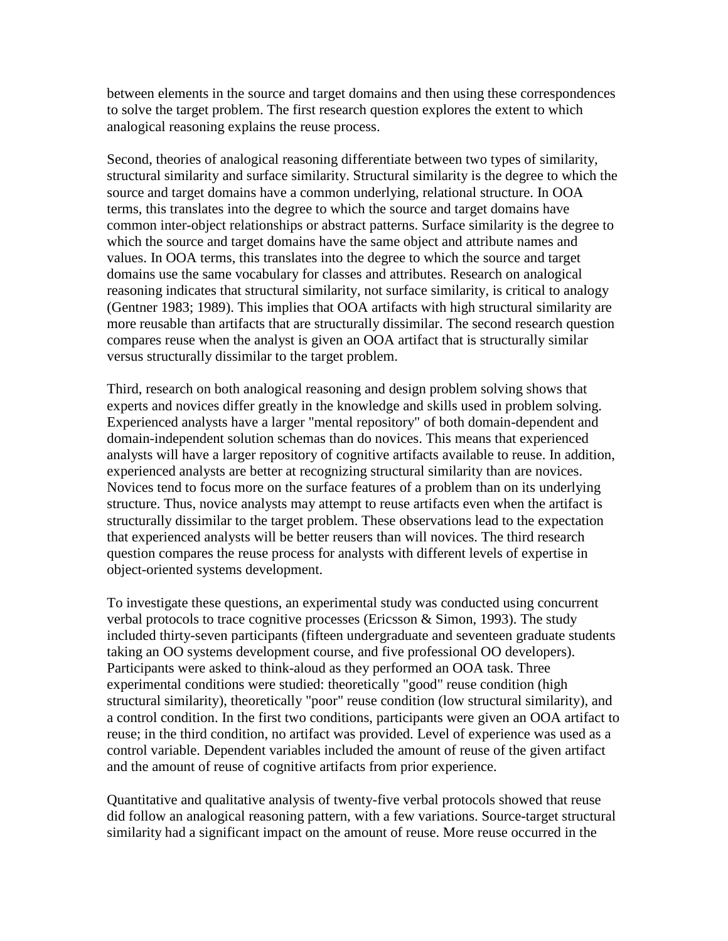between elements in the source and target domains and then using these correspondences to solve the target problem. The first research question explores the extent to which analogical reasoning explains the reuse process.

Second, theories of analogical reasoning differentiate between two types of similarity, structural similarity and surface similarity. Structural similarity is the degree to which the source and target domains have a common underlying, relational structure. In OOA terms, this translates into the degree to which the source and target domains have common inter-object relationships or abstract patterns. Surface similarity is the degree to which the source and target domains have the same object and attribute names and values. In OOA terms, this translates into the degree to which the source and target domains use the same vocabulary for classes and attributes. Research on analogical reasoning indicates that structural similarity, not surface similarity, is critical to analogy (Gentner 1983; 1989). This implies that OOA artifacts with high structural similarity are more reusable than artifacts that are structurally dissimilar. The second research question compares reuse when the analyst is given an OOA artifact that is structurally similar versus structurally dissimilar to the target problem.

Third, research on both analogical reasoning and design problem solving shows that experts and novices differ greatly in the knowledge and skills used in problem solving. Experienced analysts have a larger "mental repository" of both domain-dependent and domain-independent solution schemas than do novices. This means that experienced analysts will have a larger repository of cognitive artifacts available to reuse. In addition, experienced analysts are better at recognizing structural similarity than are novices. Novices tend to focus more on the surface features of a problem than on its underlying structure. Thus, novice analysts may attempt to reuse artifacts even when the artifact is structurally dissimilar to the target problem. These observations lead to the expectation that experienced analysts will be better reusers than will novices. The third research question compares the reuse process for analysts with different levels of expertise in object-oriented systems development.

To investigate these questions, an experimental study was conducted using concurrent verbal protocols to trace cognitive processes (Ericsson & Simon, 1993). The study included thirty-seven participants (fifteen undergraduate and seventeen graduate students taking an OO systems development course, and five professional OO developers). Participants were asked to think-aloud as they performed an OOA task. Three experimental conditions were studied: theoretically "good" reuse condition (high structural similarity), theoretically "poor" reuse condition (low structural similarity), and a control condition. In the first two conditions, participants were given an OOA artifact to reuse; in the third condition, no artifact was provided. Level of experience was used as a control variable. Dependent variables included the amount of reuse of the given artifact and the amount of reuse of cognitive artifacts from prior experience.

Quantitative and qualitative analysis of twenty-five verbal protocols showed that reuse did follow an analogical reasoning pattern, with a few variations. Source-target structural similarity had a significant impact on the amount of reuse. More reuse occurred in the